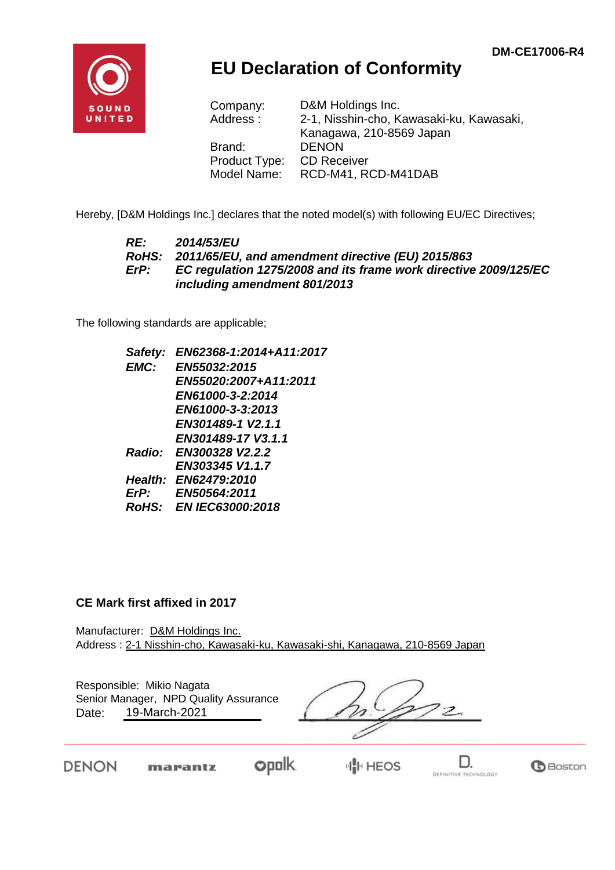

## **EU Declaration of Conformity**

| Company:      | D&M Holdings Inc.                        |
|---------------|------------------------------------------|
| Address:      | 2-1, Nisshin-cho, Kawasaki-ku, Kawasaki, |
|               | Kanagawa, 210-8569 Japan                 |
| Brand:        | <b>DENON</b>                             |
| Product Type: | <b>CD Receiver</b>                       |
| Model Name:   | RCD-M41, RCD-M41DAB                      |

Hereby, [D&M Holdings Inc.] declares that the noted model(s) with following EU/EC Directives;

## *RE: 2014/53/EU RoHS: 2011/65/EU, and amendment directive (EU) 2015/863 ErP: EC regulation 1275/2008 and its frame work directive 2009/125/EC including amendment 801/2013*

The following standards are applicable;

|      | Safety: EN62368-1:2014+A11:2017 |
|------|---------------------------------|
| EMC: | EN55032:2015                    |
|      | EN55020:2007+A11:2011           |
|      | EN61000-3-2:2014                |
|      | EN61000-3-3:2013                |
|      | EN301489-1 V2.1.1               |
|      | EN301489-17 V3.1.1              |
|      | Radio: EN300328 V2.2.2          |
|      | EN303345 V1.1.7                 |
|      | <b>Health: EN62479:2010</b>     |
| ErP: | <b>EN50564:2011</b>             |
|      | RoHS: EN IEC63000:2018          |
|      |                                 |

## **CE Mark first affixed in 2017**

Manufacturer: D&M Holdings Inc. Address : 2-1 Nisshin-cho, Kawasaki-ku, Kawasaki-shi, Kanagawa, 210-8569 Japan

| Date: | Responsible: Mikio Nagata<br>Senior Manager, NPD Quality Assurance<br>19-March-2021 |                  |  |
|-------|-------------------------------------------------------------------------------------|------------------|--|
|       | marantz                                                                             | <b>I</b> II HEOS |  |



DEFINITIVE TECHNOLOGY